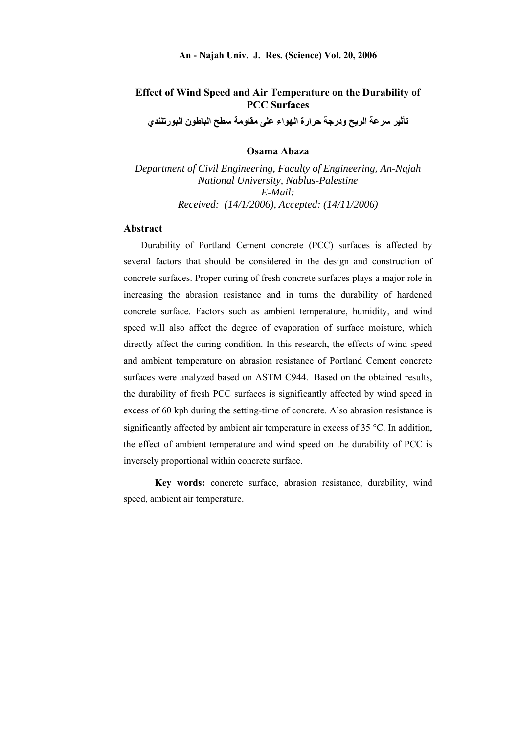# **Effect of Wind Speed and Air Temperature on the Durability of PCC Surfaces**

**تأثير سرعة الريح ودرجة حرارة الهواء على مقاومة سطح الباطون البورتلندي** 

#### **Osama Abaza**

*Department of Civil Engineering, Faculty of Engineering, An-Najah National University, Nablus-Palestine E-Mail: Received: (14/1/2006), Accepted: (14/11/2006)*

## **Abstract**

Durability of Portland Cement concrete (PCC) surfaces is affected by several factors that should be considered in the design and construction of concrete surfaces. Proper curing of fresh concrete surfaces plays a major role in increasing the abrasion resistance and in turns the durability of hardened concrete surface. Factors such as ambient temperature, humidity, and wind speed will also affect the degree of evaporation of surface moisture, which directly affect the curing condition. In this research, the effects of wind speed and ambient temperature on abrasion resistance of Portland Cement concrete surfaces were analyzed based on ASTM C944. Based on the obtained results, the durability of fresh PCC surfaces is significantly affected by wind speed in excess of 60 kph during the setting-time of concrete. Also abrasion resistance is significantly affected by ambient air temperature in excess of  $35^{\circ}$ C. In addition, the effect of ambient temperature and wind speed on the durability of PCC is inversely proportional within concrete surface.

**Key words:** concrete surface, abrasion resistance, durability, wind speed, ambient air temperature.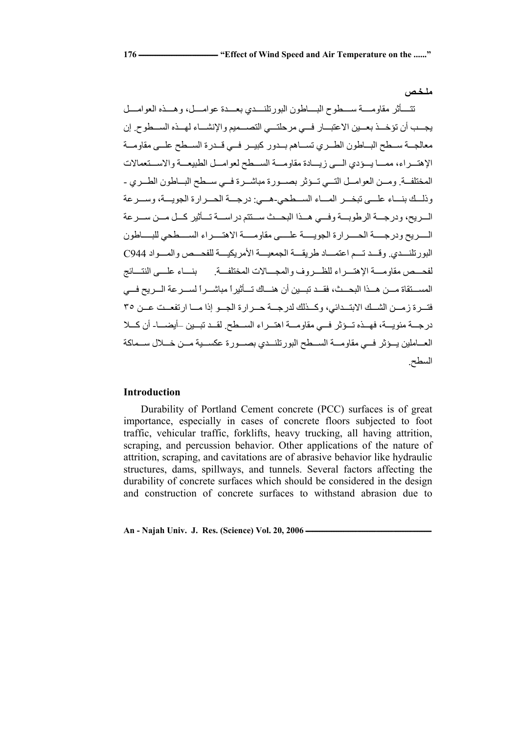تتسأثر مقاومسة سمطوح البساطون البورتلنسدي بعسدة عوامسل، وهسذه العوامسل يجــد أن تؤخــذ بعــين الاعتبــار فــي مرحلتــي التصـــميم والإنشــاء لهــذه الســطوح. إن معالجــة ســطح البــاطون الطــري تســاهم بــدور كبيــر فــي قــدرة الســطح علــي مقاومــة الإهتسراء، ممسا يسؤدي السي زيسادة مقاومسة السهطح لعوامسل الطبيعسة والاسستعمالات المختلفة. ومسن العوامـل التسي تسؤثر بصسورة مباشـرة فسي سـطح البـاطون الطـري -وذله ونسك بنساء علمي تبخسر المساء السهطحي-هسي: درجسة الحسرارة الجويسة، وسسرعة السريح، ودرجــة الرطوبــة وفــي هــذا البحــث ســتتم در اســة تــأثير كــل مــن ســر عة السريح ودرجسة الحسرارة الجويسة علسي مقاومسة الاهتسراء السطحي للبساطون البور تلنسدي. وقسد تسم اعتمساد طريقسة الجمعيسة الأمريكيسة للفحسص والمسواد C944 لفحه مم مقاومه الإهتسراء للظسروف والمجسالات المختلفية بمنساء علسي النتسائج المســتقاة مـــن هــذا البحــث، فقــد تبــين أن هنـــاك تـــأثير أ مباشــر أ لســر عة الـــر يح فـــي فتسرة زمسن الشسك الابتسدائي، وكسنلك لدرجسة حسرارة الجسو إذا مسا ارتفعست عسن ٣٥ درجـة مئويــة، فهـذه تـوثر فــي مقاومــة اهتـراء السـطح. لقـد تبـين –أيضــا- أن كــلا العـاملين يــؤثر فــي مقاومــة الســطح البورتلنــدي بصــورة عكســية مــن خــلال ســماكة السطح.

# **Introduction**

Durability of Portland Cement concrete (PCC) surfaces is of great importance, especially in cases of concrete floors subjected to foot traffic, vehicular traffic, forklifts, heavy trucking, all having attrition, scraping, and percussion behavior. Other applications of the nature of attrition, scraping, and cavitations are of abrasive behavior like hydraulic structures, dams, spillways, and tunnels. Several factors affecting the durability of concrete surfaces which should be considered in the design and construction of concrete surfaces to withstand abrasion due to

An - Najah Univ. J. Res. (Science) Vol. 20, 2006 **-**

**ملـخـص**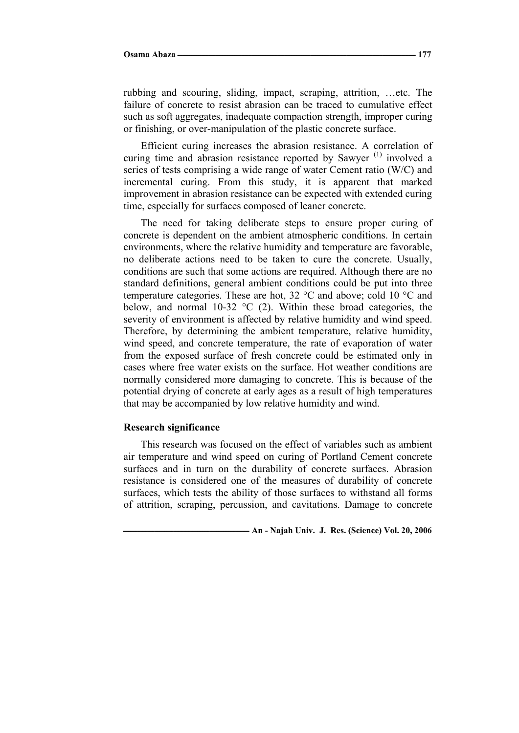rubbing and scouring, sliding, impact, scraping, attrition, …etc. The failure of concrete to resist abrasion can be traced to cumulative effect such as soft aggregates, inadequate compaction strength, improper curing or finishing, or over-manipulation of the plastic concrete surface.

Efficient curing increases the abrasion resistance. A correlation of curing time and abrasion resistance reported by Sawyer<sup> $(1)$ </sup> involved a series of tests comprising a wide range of water Cement ratio (W/C) and incremental curing. From this study, it is apparent that marked improvement in abrasion resistance can be expected with extended curing time, especially for surfaces composed of leaner concrete.

The need for taking deliberate steps to ensure proper curing of concrete is dependent on the ambient atmospheric conditions. In certain environments, where the relative humidity and temperature are favorable, no deliberate actions need to be taken to cure the concrete. Usually, conditions are such that some actions are required. Although there are no standard definitions, general ambient conditions could be put into three temperature categories. These are hot, 32 °C and above; cold 10 °C and below, and normal 10-32  $\degree$ C (2). Within these broad categories, the severity of environment is affected by relative humidity and wind speed. Therefore, by determining the ambient temperature, relative humidity, wind speed, and concrete temperature, the rate of evaporation of water from the exposed surface of fresh concrete could be estimated only in cases where free water exists on the surface. Hot weather conditions are normally considered more damaging to concrete. This is because of the potential drying of concrete at early ages as a result of high temperatures that may be accompanied by low relative humidity and wind.

#### **Research significance**

This research was focused on the effect of variables such as ambient air temperature and wind speed on curing of Portland Cement concrete surfaces and in turn on the durability of concrete surfaces. Abrasion resistance is considered one of the measures of durability of concrete surfaces, which tests the ability of those surfaces to withstand all forms of attrition, scraping, percussion, and cavitations. Damage to concrete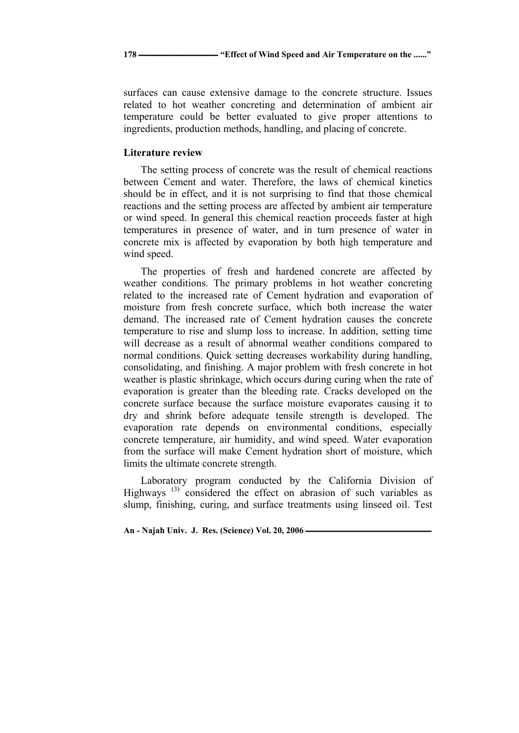surfaces can cause extensive damage to the concrete structure. Issues related to hot weather concreting and determination of ambient air temperature could be better evaluated to give proper attentions to ingredients, production methods, handling, and placing of concrete.

## **Literature review**

The setting process of concrete was the result of chemical reactions between Cement and water. Therefore, the laws of chemical kinetics should be in effect, and it is not surprising to find that those chemical reactions and the setting process are affected by ambient air temperature or wind speed. In general this chemical reaction proceeds faster at high temperatures in presence of water, and in turn presence of water in concrete mix is affected by evaporation by both high temperature and wind speed.

The properties of fresh and hardened concrete are affected by weather conditions. The primary problems in hot weather concreting related to the increased rate of Cement hydration and evaporation of moisture from fresh concrete surface, which both increase the water demand. The increased rate of Cement hydration causes the concrete temperature to rise and slump loss to increase. In addition, setting time will decrease as a result of abnormal weather conditions compared to normal conditions. Quick setting decreases workability during handling, consolidating, and finishing. A major problem with fresh concrete in hot weather is plastic shrinkage, which occurs during curing when the rate of evaporation is greater than the bleeding rate. Cracks developed on the concrete surface because the surface moisture evaporates causing it to dry and shrink before adequate tensile strength is developed. The evaporation rate depends on environmental conditions, especially concrete temperature, air humidity, and wind speed. Water evaporation from the surface will make Cement hydration short of moisture, which limits the ultimate concrete strength.

Laboratory program conducted by the California Division of Highways (3) considered the effect on abrasion of such variables as slump, finishing, curing, and surface treatments using linseed oil. Test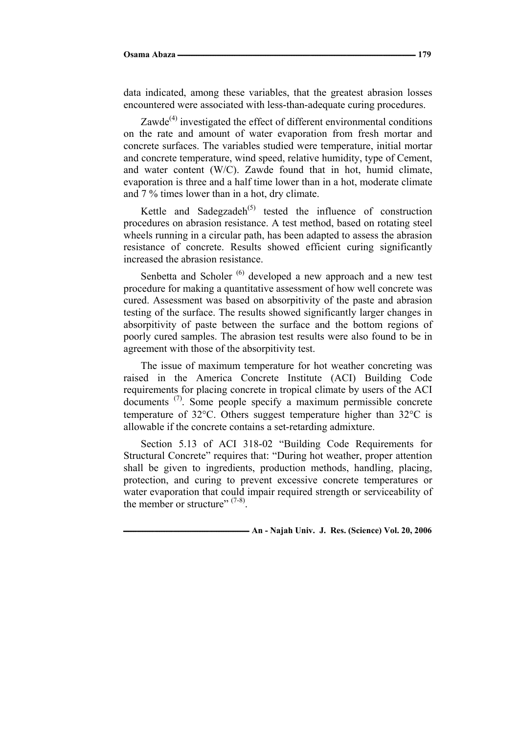data indicated, among these variables, that the greatest abrasion losses encountered were associated with less-than-adequate curing procedures.

Zawde $^{(4)}$  investigated the effect of different environmental conditions on the rate and amount of water evaporation from fresh mortar and concrete surfaces. The variables studied were temperature, initial mortar and concrete temperature, wind speed, relative humidity, type of Cement, and water content (W/C). Zawde found that in hot, humid climate, evaporation is three and a half time lower than in a hot, moderate climate and 7 % times lower than in a hot, dry climate.

Kettle and Sadegzadeh<sup> $(5)$ </sup> tested the influence of construction procedures on abrasion resistance. A test method, based on rotating steel wheels running in a circular path, has been adapted to assess the abrasion resistance of concrete. Results showed efficient curing significantly increased the abrasion resistance.

Senbetta and Scholer<sup>(6)</sup> developed a new approach and a new test procedure for making a quantitative assessment of how well concrete was cured. Assessment was based on absorpitivity of the paste and abrasion testing of the surface. The results showed significantly larger changes in absorpitivity of paste between the surface and the bottom regions of poorly cured samples. The abrasion test results were also found to be in agreement with those of the absorpitivity test.

The issue of maximum temperature for hot weather concreting was raised in the America Concrete Institute (ACI) Building Code requirements for placing concrete in tropical climate by users of the ACI documents<sup>(7)</sup>. Some people specify a maximum permissible concrete temperature of  $32^{\circ}$ C. Others suggest temperature higher than  $32^{\circ}$ C is allowable if the concrete contains a set-retarding admixture.

Section 5.13 of ACI 318-02 "Building Code Requirements for Structural Concrete" requires that: "During hot weather, proper attention shall be given to ingredients, production methods, handling, placing, protection, and curing to prevent excessive concrete temperatures or water evaporation that could impair required strength or serviceability of the member or structure"  $(7-8)$ .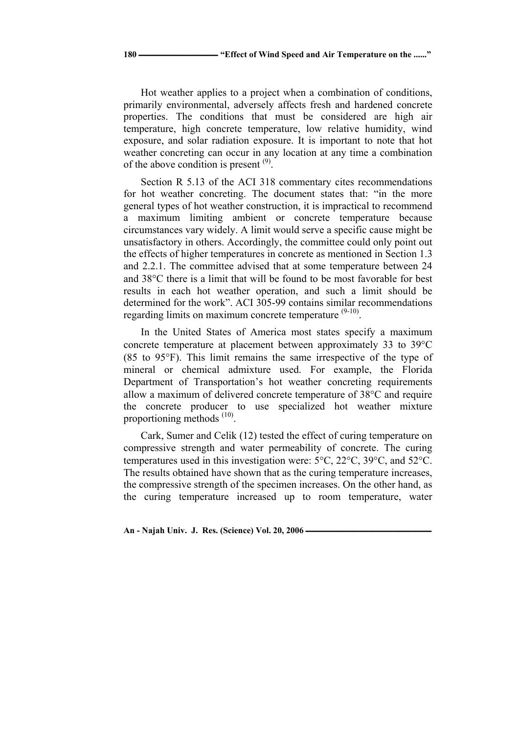**180 ــــــــــــــــــــــــــــــــــــــــــــــ" Effect of Wind Speed and Air Temperature on the ......"**

Hot weather applies to a project when a combination of conditions, primarily environmental, adversely affects fresh and hardened concrete properties. The conditions that must be considered are high air temperature, high concrete temperature, low relative humidity, wind exposure, and solar radiation exposure. It is important to note that hot weather concreting can occur in any location at any time a combination of the above condition is present  $(9)$ .

Section R 5.13 of the ACI 318 commentary cites recommendations for hot weather concreting. The document states that: "in the more general types of hot weather construction, it is impractical to recommend a maximum limiting ambient or concrete temperature because circumstances vary widely. A limit would serve a specific cause might be unsatisfactory in others. Accordingly, the committee could only point out the effects of higher temperatures in concrete as mentioned in Section 1.3 and 2.2.1. The committee advised that at some temperature between 24 and  $38^{\circ}$ C there is a limit that will be found to be most favorable for best results in each hot weather operation, and such a limit should be determined for the work". ACI 305-99 contains similar recommendations regarding limits on maximum concrete temperature  $(9-10)$ .

In the United States of America most states specify a maximum concrete temperature at placement between approximately 33 to  $39^{\circ}$ C (85 to 95F). This limit remains the same irrespective of the type of mineral or chemical admixture used. For example, the Florida Department of Transportation's hot weather concreting requirements allow a maximum of delivered concrete temperature of  $38^{\circ}$ C and require the concrete producer to use specialized hot weather mixture proportioning methods  $(10)$ .

Cark, Sumer and Celik (12) tested the effect of curing temperature on compressive strength and water permeability of concrete. The curing temperatures used in this investigation were:  $5^{\circ}$ C,  $22^{\circ}$ C,  $39^{\circ}$ C, and  $52^{\circ}$ C. The results obtained have shown that as the curing temperature increases, the compressive strength of the specimen increases. On the other hand, as the curing temperature increased up to room temperature, water

An - Najah Univ. J. Res. (Science) Vol. 20, 2006 **-**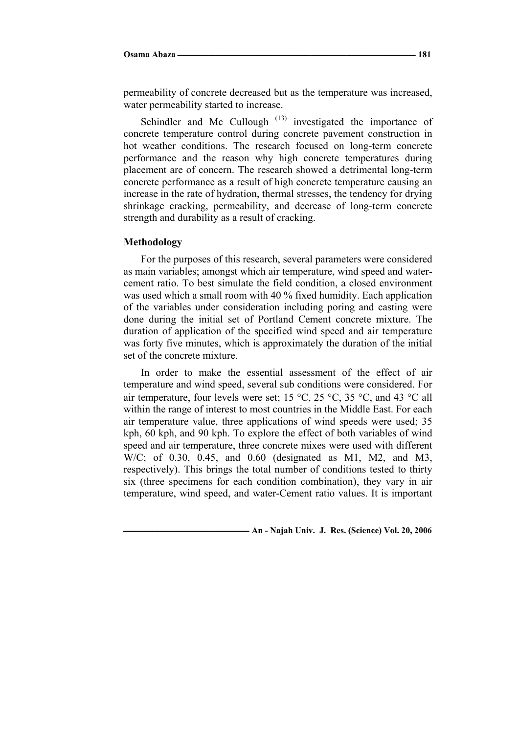permeability of concrete decreased but as the temperature was increased, water permeability started to increase.

Schindler and Mc Cullough  $(13)$  investigated the importance of concrete temperature control during concrete pavement construction in hot weather conditions. The research focused on long-term concrete performance and the reason why high concrete temperatures during placement are of concern. The research showed a detrimental long-term concrete performance as a result of high concrete temperature causing an increase in the rate of hydration, thermal stresses, the tendency for drying shrinkage cracking, permeability, and decrease of long-term concrete strength and durability as a result of cracking.

#### **Methodology**

For the purposes of this research, several parameters were considered as main variables; amongst which air temperature, wind speed and watercement ratio. To best simulate the field condition, a closed environment was used which a small room with 40 % fixed humidity. Each application of the variables under consideration including poring and casting were done during the initial set of Portland Cement concrete mixture. The duration of application of the specified wind speed and air temperature was forty five minutes, which is approximately the duration of the initial set of the concrete mixture.

In order to make the essential assessment of the effect of air temperature and wind speed, several sub conditions were considered. For air temperature, four levels were set; 15 °C, 25 °C, 35 °C, and 43 °C all within the range of interest to most countries in the Middle East. For each air temperature value, three applications of wind speeds were used; 35 kph, 60 kph, and 90 kph. To explore the effect of both variables of wind speed and air temperature, three concrete mixes were used with different W/C; of 0.30, 0.45, and 0.60 (designated as M1, M2, and M3, respectively). This brings the total number of conditions tested to thirty six (three specimens for each condition combination), they vary in air temperature, wind speed, and water-Cement ratio values. It is important

**ـــــــــــــــــــــــــــــــــــــــــــــــــــــــــــــــــــــــــ An - Najah Univ. J. Res. (Science) Vol. 20, 2006**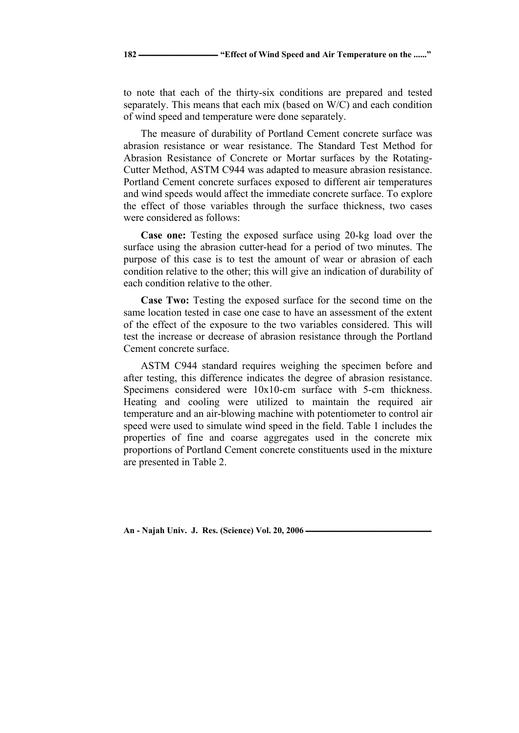to note that each of the thirty-six conditions are prepared and tested separately. This means that each mix (based on W/C) and each condition of wind speed and temperature were done separately.

The measure of durability of Portland Cement concrete surface was abrasion resistance or wear resistance. The Standard Test Method for Abrasion Resistance of Concrete or Mortar surfaces by the Rotating-Cutter Method, ASTM C944 was adapted to measure abrasion resistance. Portland Cement concrete surfaces exposed to different air temperatures and wind speeds would affect the immediate concrete surface. To explore the effect of those variables through the surface thickness, two cases were considered as follows:

**Case one:** Testing the exposed surface using 20-kg load over the surface using the abrasion cutter-head for a period of two minutes. The purpose of this case is to test the amount of wear or abrasion of each condition relative to the other; this will give an indication of durability of each condition relative to the other.

**Case Two:** Testing the exposed surface for the second time on the same location tested in case one case to have an assessment of the extent of the effect of the exposure to the two variables considered. This will test the increase or decrease of abrasion resistance through the Portland Cement concrete surface.

ASTM C944 standard requires weighing the specimen before and after testing, this difference indicates the degree of abrasion resistance. Specimens considered were 10x10-cm surface with 5-cm thickness. Heating and cooling were utilized to maintain the required air temperature and an air-blowing machine with potentiometer to control air speed were used to simulate wind speed in the field. Table 1 includes the properties of fine and coarse aggregates used in the concrete mix proportions of Portland Cement concrete constituents used in the mixture are presented in Table 2.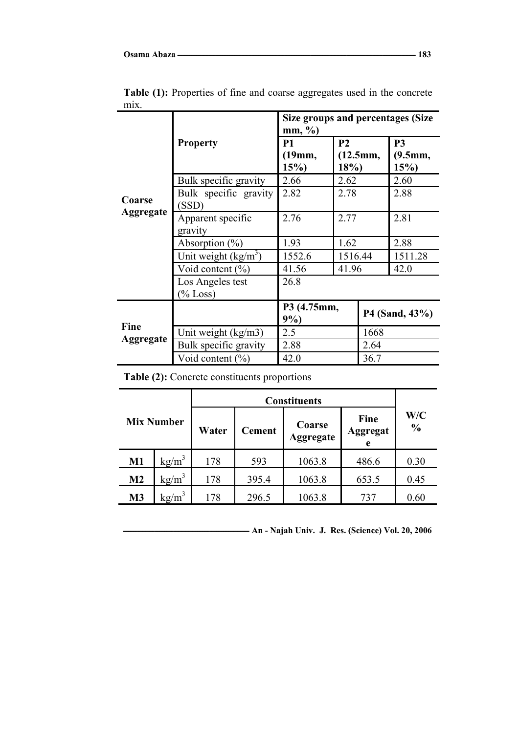|                            |                                | Size groups and percentages (Size<br>$mm, \%$ |                                   |      |                                  |  |
|----------------------------|--------------------------------|-----------------------------------------------|-----------------------------------|------|----------------------------------|--|
| Coarse<br><b>Aggregate</b> | <b>Property</b>                | <b>P1</b><br>(19mm,<br>15%                    | P <sub>2</sub><br>(12.5mm,<br>18% |      | P <sub>3</sub><br>(9.5mm,<br>15% |  |
|                            | Bulk specific gravity          | 2.66                                          | 2.62                              |      | 2.60                             |  |
|                            | Bulk specific gravity<br>(SSD) | 2.82                                          | 2.78                              |      | 2.88                             |  |
|                            | Apparent specific<br>gravity   | 2.76                                          | 2.77                              |      | 2.81                             |  |
|                            | Absorption $(\% )$             | 1.93                                          | 1.62                              |      | 2.88                             |  |
|                            | Unit weight $(kg/m^3)$         | 1552.6                                        | 1516.44                           |      | 1511.28                          |  |
|                            | Void content $(\%)$            | 41.56                                         | 41.96                             |      | 42.0                             |  |
|                            | Los Angeles test               | 26.8                                          |                                   |      |                                  |  |
|                            | $%$ Loss)                      |                                               |                                   |      |                                  |  |
| Fine<br>Aggregate          |                                | P3 (4.75mm,<br>9%                             |                                   |      | P4 (Sand, 43%)                   |  |
|                            | Unit weight (kg/m3)            | 2.5                                           |                                   | 1668 |                                  |  |
|                            | Bulk specific gravity          | 2.88                                          |                                   | 2.64 |                                  |  |
|                            | Void content $(\% )$           | 42.0                                          |                                   | 36.7 |                                  |  |

Table (1): Properties of fine and coarse aggregates used in the concrete mix.

**Table (2):** Concrete constituents proportions

| <b>Mix Number</b> |                   |       |               |                            |                              |                      |
|-------------------|-------------------|-------|---------------|----------------------------|------------------------------|----------------------|
|                   |                   | Water | <b>Cement</b> | Coarse<br><b>Aggregate</b> | Fine<br><b>Aggregat</b><br>e | W/C<br>$\frac{0}{0}$ |
| $M1$              | $kg/m^3$          | 178   | 593           | 1063.8                     | 486.6                        | 0.30                 |
| M <sub>2</sub>    | $\text{kg/m}^3$   | 178   | 395.4         | 1063.8                     | 653.5                        | 0.45                 |
| M <sub>3</sub>    | kg/m <sup>3</sup> | 178   | 296.5         | 1063.8                     | 737                          | 0.60                 |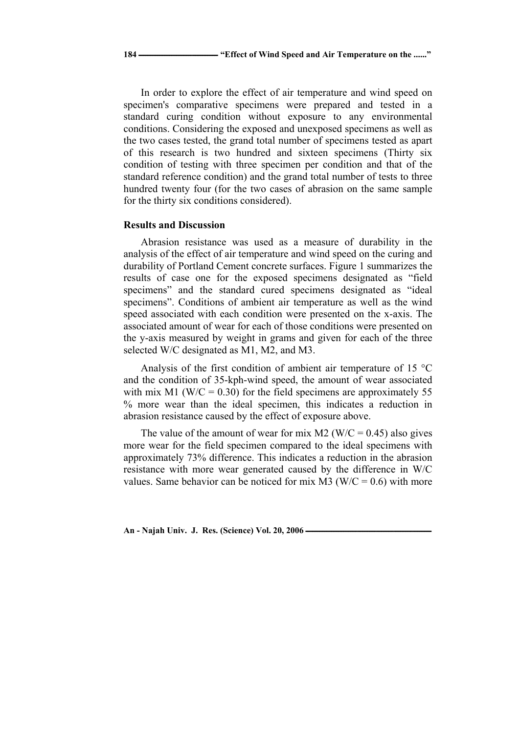In order to explore the effect of air temperature and wind speed on specimen's comparative specimens were prepared and tested in a standard curing condition without exposure to any environmental conditions. Considering the exposed and unexposed specimens as well as the two cases tested, the grand total number of specimens tested as apart of this research is two hundred and sixteen specimens (Thirty six condition of testing with three specimen per condition and that of the standard reference condition) and the grand total number of tests to three hundred twenty four (for the two cases of abrasion on the same sample for the thirty six conditions considered).

#### **Results and Discussion**

Abrasion resistance was used as a measure of durability in the analysis of the effect of air temperature and wind speed on the curing and durability of Portland Cement concrete surfaces. Figure 1 summarizes the results of case one for the exposed specimens designated as "field specimens" and the standard cured specimens designated as "ideal specimens". Conditions of ambient air temperature as well as the wind speed associated with each condition were presented on the x-axis. The associated amount of wear for each of those conditions were presented on the y-axis measured by weight in grams and given for each of the three selected W/C designated as M1, M2, and M3.

Analysis of the first condition of ambient air temperature of 15  $^{\circ}$ C and the condition of 35-kph-wind speed, the amount of wear associated with mix M1 (W/C =  $0.30$ ) for the field specimens are approximately 55 % more wear than the ideal specimen, this indicates a reduction in abrasion resistance caused by the effect of exposure above.

The value of the amount of wear for mix M2 (W/C = 0.45) also gives more wear for the field specimen compared to the ideal specimens with approximately 73% difference. This indicates a reduction in the abrasion resistance with more wear generated caused by the difference in W/C values. Same behavior can be noticed for mix M3 ( $W/C = 0.6$ ) with more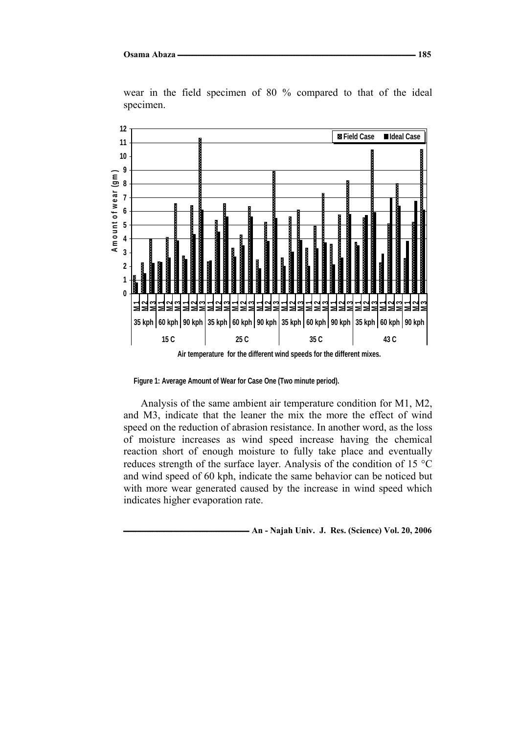

wear in the field specimen of 80 % compared to that of the ideal specimen.

**Figure 1: Average Amount of Wear for Case One (Two minute period).**

Analysis of the same ambient air temperature condition for M1, M2, and M3, indicate that the leaner the mix the more the effect of wind speed on the reduction of abrasion resistance. In another word, as the loss of moisture increases as wind speed increase having the chemical reaction short of enough moisture to fully take place and eventually reduces strength of the surface layer. Analysis of the condition of 15  $^{\circ}$ C and wind speed of 60 kph, indicate the same behavior can be noticed but with more wear generated caused by the increase in wind speed which indicates higher evaporation rate.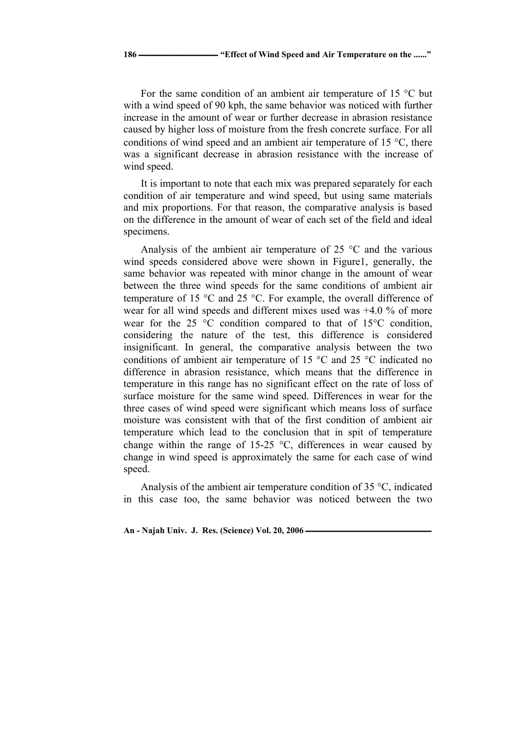For the same condition of an ambient air temperature of 15  $\degree$ C but with a wind speed of 90 kph, the same behavior was noticed with further increase in the amount of wear or further decrease in abrasion resistance caused by higher loss of moisture from the fresh concrete surface. For all conditions of wind speed and an ambient air temperature of 15  $^{\circ}$ C, there was a significant decrease in abrasion resistance with the increase of wind speed.

It is important to note that each mix was prepared separately for each condition of air temperature and wind speed, but using same materials and mix proportions. For that reason, the comparative analysis is based on the difference in the amount of wear of each set of the field and ideal specimens.

Analysis of the ambient air temperature of  $25^{\circ}$ C and the various wind speeds considered above were shown in Figure1, generally, the same behavior was repeated with minor change in the amount of wear between the three wind speeds for the same conditions of ambient air temperature of 15  $\degree$ C and 25  $\degree$ C. For example, the overall difference of wear for all wind speeds and different mixes used was +4.0 % of more wear for the 25  $\degree$ C condition compared to that of 15 $\degree$ C condition, considering the nature of the test, this difference is considered insignificant. In general, the comparative analysis between the two conditions of ambient air temperature of 15  $\degree$ C and 25  $\degree$ C indicated no difference in abrasion resistance, which means that the difference in temperature in this range has no significant effect on the rate of loss of surface moisture for the same wind speed. Differences in wear for the three cases of wind speed were significant which means loss of surface moisture was consistent with that of the first condition of ambient air temperature which lead to the conclusion that in spit of temperature change within the range of 15-25  $\degree$ C, differences in wear caused by change in wind speed is approximately the same for each case of wind speed.

Analysis of the ambient air temperature condition of 35  $\degree$ C, indicated in this case too, the same behavior was noticed between the two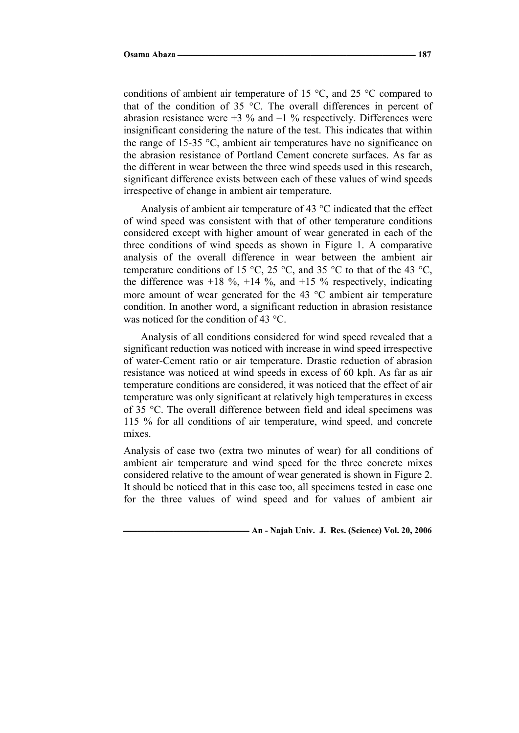conditions of ambient air temperature of 15  $\degree$ C, and 25  $\degree$ C compared to that of the condition of 35  $\degree$ C. The overall differences in percent of abrasion resistance were  $+3\%$  and  $-1\%$  respectively. Differences were insignificant considering the nature of the test. This indicates that within the range of 15-35  $\degree$ C, ambient air temperatures have no significance on the abrasion resistance of Portland Cement concrete surfaces. As far as the different in wear between the three wind speeds used in this research, significant difference exists between each of these values of wind speeds irrespective of change in ambient air temperature.

Analysis of ambient air temperature of 43  $\degree$ C indicated that the effect of wind speed was consistent with that of other temperature conditions considered except with higher amount of wear generated in each of the three conditions of wind speeds as shown in Figure 1. A comparative analysis of the overall difference in wear between the ambient air temperature conditions of 15 °C, 25 °C, and 35 °C to that of the 43 °C, the difference was  $+18\%$ ,  $+14\%$ , and  $+15\%$  respectively, indicating more amount of wear generated for the  $43 \degree C$  ambient air temperature condition. In another word, a significant reduction in abrasion resistance was noticed for the condition of 43 °C.

Analysis of all conditions considered for wind speed revealed that a significant reduction was noticed with increase in wind speed irrespective of water-Cement ratio or air temperature. Drastic reduction of abrasion resistance was noticed at wind speeds in excess of 60 kph. As far as air temperature conditions are considered, it was noticed that the effect of air temperature was only significant at relatively high temperatures in excess of 35 °C. The overall difference between field and ideal specimens was 115 % for all conditions of air temperature, wind speed, and concrete mixes.

Analysis of case two (extra two minutes of wear) for all conditions of ambient air temperature and wind speed for the three concrete mixes considered relative to the amount of wear generated is shown in Figure 2. It should be noticed that in this case too, all specimens tested in case one for the three values of wind speed and for values of ambient air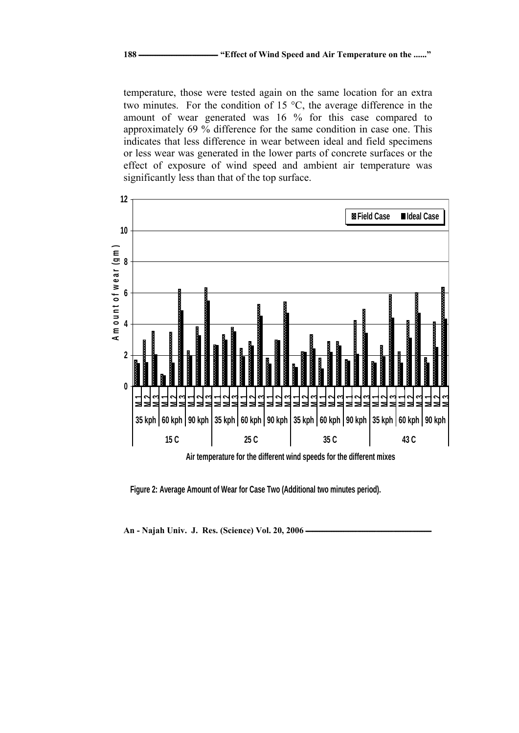temperature, those were tested again on the same location for an extra two minutes. For the condition of 15  $\degree$ C, the average difference in the amount of wear generated was 16 % for this case compared to approximately 69 % difference for the same condition in case one. This indicates that less difference in wear between ideal and field specimens or less wear was generated in the lower parts of concrete surfaces or the effect of exposure of wind speed and ambient air temperature was significantly less than that of the top surface.



**Figure 2: Average Amount of Wear for Case Two (Additional two minutes period).**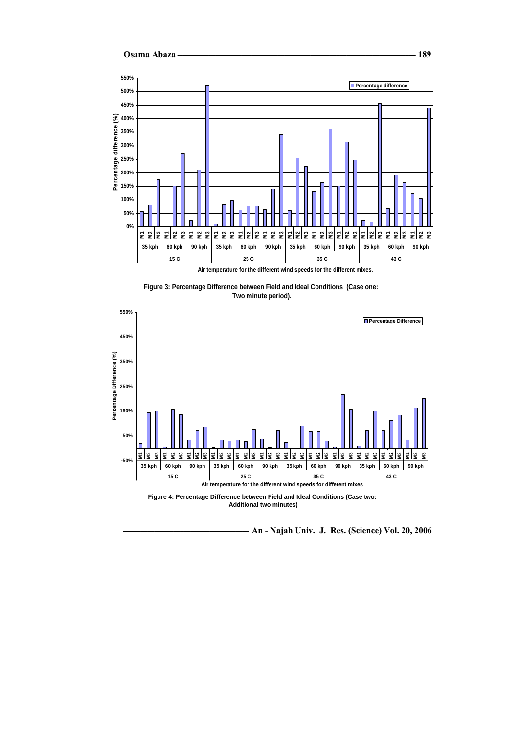







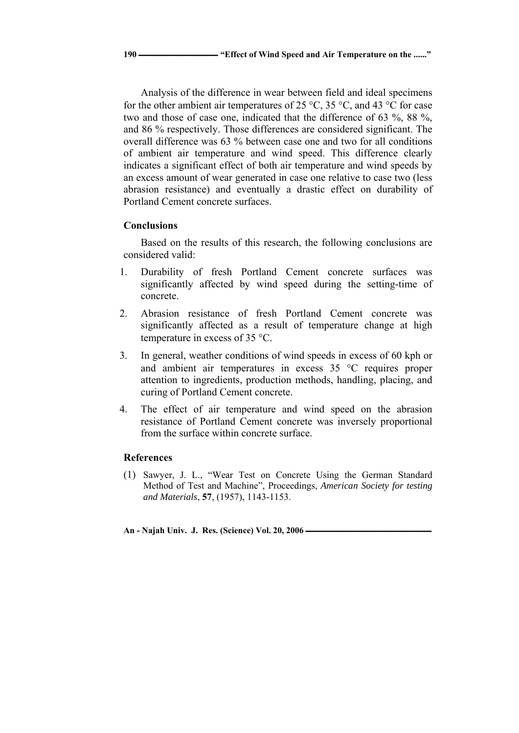Analysis of the difference in wear between field and ideal specimens for the other ambient air temperatures of 25 °C, 35 °C, and 43 °C for case two and those of case one, indicated that the difference of 63 %, 88 %, and 86 % respectively. Those differences are considered significant. The overall difference was 63 % between case one and two for all conditions of ambient air temperature and wind speed. This difference clearly indicates a significant effect of both air temperature and wind speeds by an excess amount of wear generated in case one relative to case two (less abrasion resistance) and eventually a drastic effect on durability of Portland Cement concrete surfaces.

# **Conclusions**

Based on the results of this research, the following conclusions are considered valid:

- 1. Durability of fresh Portland Cement concrete surfaces was significantly affected by wind speed during the setting-time of concrete.
- 2. Abrasion resistance of fresh Portland Cement concrete was significantly affected as a result of temperature change at high temperature in excess of 35  $\degree$ C.
- 3. In general, weather conditions of wind speeds in excess of 60 kph or and ambient air temperatures in excess  $35^{\circ}$ C requires proper attention to ingredients, production methods, handling, placing, and curing of Portland Cement concrete.
- 4. The effect of air temperature and wind speed on the abrasion resistance of Portland Cement concrete was inversely proportional from the surface within concrete surface.

## **References**

(1) Sawyer, J. L., "Wear Test on Concrete Using the German Standard Method of Test and Machine", Proceedings, *American Society for testing and Materials*, **57**, (1957), 1143-1153.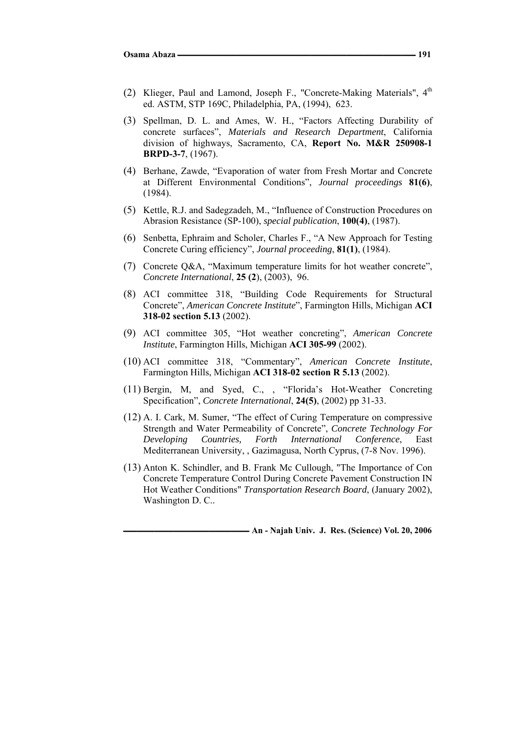- (2) Klieger, Paul and Lamond, Joseph F., "Concrete-Making Materials", 4<sup>th</sup> ed. ASTM, STP 169C, Philadelphia, PA, (1994), 623.
- (3) Spellman, D. L. and Ames, W. H., "Factors Affecting Durability of concrete surfaces", *Materials and Research Department*, California division of highways, Sacramento, CA, **Report No. M&R 250908-1 BRPD-3-7**, (1967).
- (4) Berhane, Zawde, "Evaporation of water from Fresh Mortar and Concrete at Different Environmental Conditions", *Journal proceedings* **81(6)**, (1984).
- (5) Kettle, R.J. and Sadegzadeh, M., "Influence of Construction Procedures on Abrasion Resistance (SP-100), *special publication*, **100(4)**, (1987).
- (6) Senbetta, Ephraim and Scholer, Charles F., "A New Approach for Testing Concrete Curing efficiency", *Journal proceeding*, **81(1)**, (1984).
- (7) Concrete Q&A, "Maximum temperature limits for hot weather concrete", *Concrete International*, **25 (2**), (2003), 96.
- (8) ACI committee 318, "Building Code Requirements for Structural Concrete", *American Concrete Institute*", Farmington Hills, Michigan **ACI 318-02 section 5.13** (2002).
- (9) ACI committee 305, "Hot weather concreting", *American Concrete Institute*, Farmington Hills, Michigan **ACI 305-99** (2002).
- (10) ACI committee 318, "Commentary", *American Concrete Institute*, Farmington Hills, Michigan **ACI 318-02 section R 5.13** (2002).
- (11) Bergin, M, and Syed, C., , "Florida's Hot-Weather Concreting Specification", *Concrete International*, **24(5)**, (2002) pp 31-33.
- (12) A. I. Cark, M. Sumer, "The effect of Curing Temperature on compressive Strength and Water Permeability of Concrete", *Concrete Technology For Developing Countries, Forth International Conference*, East Mediterranean University, , Gazimagusa, North Cyprus, (7-8 Nov. 1996).
- (13) Anton K. Schindler, and B. Frank Mc Cullough, "The Importance of Con Concrete Temperature Control During Concrete Pavement Construction IN Hot Weather Conditions" *Transportation Research Board*, (January 2002), Washington D. C..